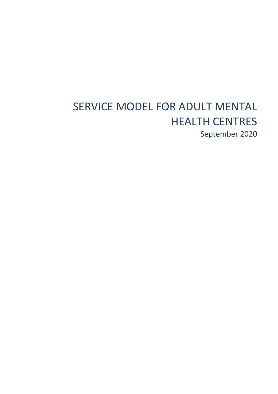# SERVICE MODEL FOR ADULT MENTAL HEALTH CENTRES September 2020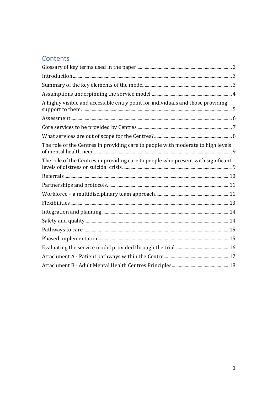# Contents

| A highly visible and accessible entry point for individuals and those providing  |
|----------------------------------------------------------------------------------|
|                                                                                  |
|                                                                                  |
|                                                                                  |
| The role of the Centres in providing care to people with moderate to high levels |
| The role of the Centres in providing care to people who present with significant |
|                                                                                  |
|                                                                                  |
|                                                                                  |
|                                                                                  |
|                                                                                  |
|                                                                                  |
|                                                                                  |
|                                                                                  |
|                                                                                  |
|                                                                                  |
|                                                                                  |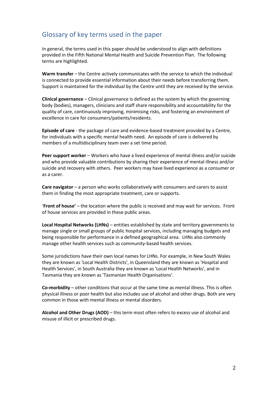# <span id="page-2-0"></span>Glossary of key terms used in the paper

In general, the terms used in this paper should be understood to align with definitions provided in the Fifth National Mental Health and Suicide Prevention Plan. The following terms are highlighted.

**Warm transfer** – the Centre actively communicates with the service to which the individual is connected to provide essential information about their needs before transferring them. Support is maintained for the individual by the Centre until they are received by the service.

**Clinical governance** – Clinical governance is defined as the system by which the governing body (bodies), managers, clinicians and staff share responsibility and accountability for the quality of care, continuously improving, minimising risks, and fostering an environment of excellence in care for consumers/patients/residents.

**Episode of care** - the package of care and evidence-based treatment provided by a Centre, for individuals with a specific mental health need. An episode of care is delivered by members of a multidisciplinary team over a set time period.

**Peer support worker** – Workers who have a lived experience of mental illness and/or suicide and who provide valuable contributions by sharing their experience of mental illness and/or suicide and recovery with others. Peer workers may have lived experience as a consumer or as a carer.

**Care navigator** – a person who works collaboratively with consumers and carers to assist them in finding the most appropriate treatment, care or supports.

'**Front of house'** – the location where the public is received and may wait for services. Front of house services are provided in these public areas.

**Local Hospital Networks (LHNs)** – entities established by state and territory governments to manage single or small groups of public hospital services, including managing budgets and being responsible for performance in a defined geographical area. LHNs also commonly manage other health services such as community-based health services.

Some jurisdictions have their own local names for LHNs. For example, in New South Wales they are known as 'Local Health Districts', in Queensland they are known as 'Hospital and Health Services', in South Australia they are known as 'Local Health Networks', and in Tasmania they are known as 'Tasmanian Health Organisations'.

**Co-morbidity** – other conditions that occur at the same time as mental illness. This is often physical illness or poor health but also includes use of alcohol and other drugs. Both are very common in those with mental illness or mental disorders.

**Alcohol and Other Drugs (AOD)** – this term most often refers to excess use of alcohol and misuse of illicit or prescribed drugs.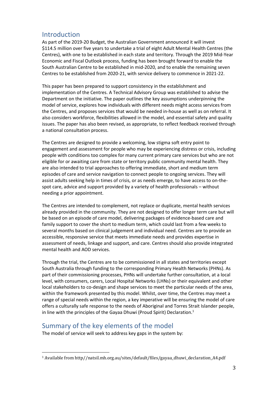### <span id="page-3-0"></span>Introduction

As part of the 2019-20 Budget, the Australian Government announced it will invest \$114.5 million over five years to undertake a trial of eight Adult Mental Health Centres (the Centres), with one to be established in each state and territory. Through the 2019 Mid-Year Economic and Fiscal Outlook process, funding has been brought forward to enable the South Australian Centre to be established in mid-2020, and to enable the remaining seven Centres to be established from 2020-21, with service delivery to commence in 2021-22.

This paper has been prepared to support consistency in the establishment and implementation of the Centres. A Technical Advisory Group was established to advise the Department on the initiative. The paper outlines the key assumptions underpinning the model of service, explores how individuals with different needs might access services from the Centres, and proposes services that would be needed in-house as well as on referral. It also considers workforce, flexibilities allowed in the model, and essential safety and quality issues. The paper has also been revised, as appropriate, to reflect feedback received through a national consultation process.

The Centres are designed to provide a welcoming, low stigma soft entry point to engagement and assessment for people who may be experiencing distress or crisis, including people with conditions too complex for many current primary care services but who are not eligible for or awaiting care from state or territory public community mental health. They are also intended to trial approaches to offering immediate, short and medium term episodes of care and service navigation to connect people to ongoing services. They will assist adults seeking help in times of crisis, or as needs emerge, to have access to on-thespot care, advice and support provided by a variety of health professionals – without needing a prior appointment.

The Centres are intended to complement, not replace or duplicate, mental health services already provided in the community. They are not designed to offer longer term care but will be based on an episode of care model, delivering packages of evidence-based care and family support to cover the short to medium term, which could last from a few weeks to several months based on clinical judgement and individual need. Centres are to provide an accessible, responsive service that meets immediate needs and provides expertise in assessment of needs, linkage and support, and care. Centres should also provide integrated mental health and AOD services.

Through the trial, the Centres are to be commissioned in all states and territories except South Australia through funding to the corresponding Primary Health Networks (PHNs). As part of their commissioning processes, PHNs will undertake further consultation, at a local level, with consumers, carers, Local Hospital Networks (LHNs) or their equivalent and other local stakeholders to co-design and shape services to meet the particular needs of the area, within the framework presented by this model. Whilst, over time, the Centres may meet a range of special needs within the region, a key imperative will be ensuring the model of care offers a culturally safe response to the needs of Aboriginal and Torres Strait Islander people, in line with the principles of the Gayaa Dhuwi (Proud Spirit) Declaration.<sup>1</sup>

# <span id="page-3-1"></span>Summary of the key elements of the model

 $\overline{a}$ 

The model of service will seek to address key gaps in the system by:

<sup>1</sup> Available from http//natsil.mh.org.au/sites/default/files/gayaa\_dhuwi\_declaration\_A4.pdf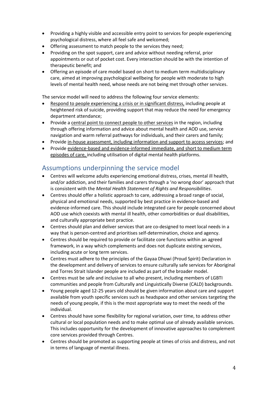- Providing a highly visible and accessible entry point to services for people experiencing psychological distress, where all feel safe and welcomed;
- Offering assessment to match people to the services they need;
- Providing on the spot support, care and advice without needing referral, prior appointments or out of pocket cost. Every interaction should be with the intention of therapeutic benefit; and
- Offering an episode of care model based on short to medium term multidisciplinary care, aimed at improving psychological wellbeing for people with moderate to high levels of mental health need, whose needs are not being met through other services.

The service model will need to address the following four service elements:

- Respond to people experiencing a crisis or in significant distress, including people at heightened risk of suicide, providing support that may reduce the need for emergency department attendance;
- Provide a central point to connect people to other services in the region, including through offering information and advice about mental health and AOD use, service navigation and warm referral pathways for individuals, and their carers and family;
- Provide in-house assessment, including information and support to access services; and
- Provide evidence-based and evidence-informed immediate, and short to medium term episodes of care, including utilisation of digital mental health platforms.

# <span id="page-4-0"></span>Assumptions underpinning the service model

- Centres will welcome adults experiencing emotional distress, crises, mental ill health, and/or addiction, and their families and carers through a 'no wrong door' approach that is consistent with the *Mental Health Statement of Rights and Responsibilities*.
- Centres should offer a holistic approach to care, addressing a broad range of social, physical and emotional needs, supported by best practice in evidence-based and evidence-informed care. This should include integrated care for people concerned about AOD use which coexists with mental ill health, other comorbidities or dual disabilities, and culturally appropriate best practice.
- Centres should plan and deliver services that are co-designed to meet local needs in a way that is person-centred and prioritises self-determination, choice and agency.
- Centres should be required to provide or facilitate core functions within an agreed framework, in a way which complements and does not duplicate existing services, including acute or long term services.
- Centres must adhere to the principles of the Gayaa Dhuwi (Proud Spirit) Declaration in the development and delivery of services to ensure culturally safe services for Aboriginal and Torres Strait Islander people are included as part of the broader model.
- Centres must be safe and inclusive to all who present, including members of LGBTI communities and people from Culturally and Linguistically Diverse (CALD) backgrounds.
- Young people aged 12-25 years old should be given information about care and support available from youth specific services such as headspace and other services targeting the needs of young people, if this is the most appropriate way to meet the needs of the individual.
- Centres should have some flexibility for regional variation, over time, to address other cultural or local population needs and to make optimal use of already available services. This includes opportunity for the development of innovative approaches to complement core services provided through Centres.
- Centres should be promoted as supporting people at times of crisis and distress, and not in terms of language of mental illness.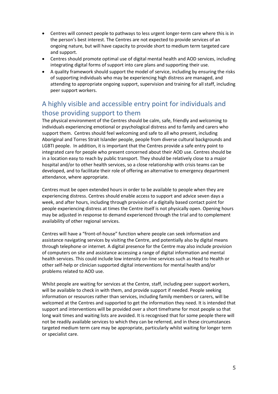- Centres will connect people to pathways to less urgent longer-term care where this is in the person's best interest. The Centres are not expected to provide services of an ongoing nature, but will have capacity to provide short to medium term targeted care and support.
- Centres should promote optimal use of digital mental health and AOD services, including integrating digital forms of support into care plans and supporting their use.
- A quality framework should support the model of service, including by ensuring the risks of supporting individuals who may be experiencing high distress are managed, and attending to appropriate ongoing support, supervision and training for all staff, including peer support workers.

# <span id="page-5-0"></span>A highly visible and accessible entry point for individuals and those providing support to them

The physical environment of the Centres should be calm, safe, friendly and welcoming to individuals experiencing emotional or psychological distress and to family and carers who support them. Centres should feel welcoming and safe to all who present, including Aboriginal and Torres Strait Islander people, people from diverse cultural backgrounds and LGBTI people. In addition, it is important that the Centres provide a safe entry point to integrated care for people who present concerned about their AOD use. Centres should be in a location easy to reach by public transport. They should be relatively close to a major hospital and/or to other health services, so a close relationship with crisis teams can be developed, and to facilitate their role of offering an alternative to emergency department attendance, where appropriate.

Centres must be open extended hours in order to be available to people when they are experiencing distress. Centres should enable access to support and advice seven days a week, and after hours, including through provision of a digitally based contact point for people experiencing distress at times the Centre itself is not physically open. Opening hours may be adjusted in response to demand experienced through the trial and to complement availability of other regional services.

Centres will have a "front-of-house" function where people can seek information and assistance navigating services by visiting the Centre, and potentially also by digital means through telephone or internet. A digital presence for the Centre may also include provision of computers on site and assistance accessing a range of digital information and mental health services. This could include low intensity on-line services such as Head to Health or other self-help or clinician supported digital interventions for mental health and/or problems related to AOD use.

Whilst people are waiting for services at the Centre, staff, including peer support workers, will be available to check in with them, and provide support if needed. People seeking information or resources rather than services, including family members or carers, will be welcomed at the Centres and supported to get the information they need. It is intended that support and interventions will be provided over a short timeframe for most people so that long wait times and waiting lists are avoided. It is recognised that for some people there will not be readily available services to which they can be referred, and in these circumstances targeted medium term care may be appropriate, particularly whilst waiting for longer term or specialist care.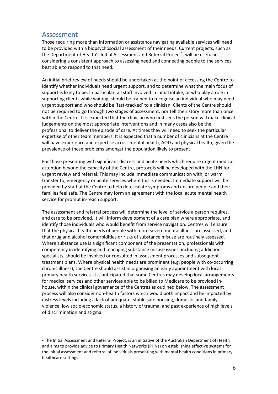#### <span id="page-6-0"></span>Assessment

 $\overline{a}$ 

Those requiring more than information or assistance navigating available services will need to be provided with a biopsychosocial assessment of their needs. Current projects, such as the Department of Health's Initial Assessment and Referral Project<sup>2</sup>, will be useful in considering a consistent approach to assessing need and connecting people to the services best able to respond to that need.

An initial brief review of needs should be undertaken at the point of accessing the Centre to identify whether individuals need urgent support, and to determine what the main focus of support is likely to be. In particular, all staff involved in initial intake, or who play a role in supporting clients while waiting, should be trained to recognise an individual who may need urgent support and who should be 'fast-tracked' to a clinician. Clients of the Centre should not be required to go through two stages of assessment, nor tell their story more than once within the Centre. It is expected that the clinician who first sees the person will make clinical judgements on the most appropriate interventions and in many cases also be the professional to deliver the episode of care. At times they will need to seek the particular expertise of other team members. It is expected that a number of clinicians at the Centre will have experience and expertise across mental health, AOD and physical health, given the prevalence of these problems amongst the population likely to present.

For those presenting with significant distress and acute needs which require urgent medical attention beyond the capacity of the Centre, protocols will be developed with the LHN for urgent review and referral. This may include immediate communication with, or warm transfer to, emergency or acute services where this is needed. Immediate support will be provided by staff at the Centre to help de-escalate symptoms and ensure people and their families feel safe. The Centre may form an agreement with the local acute mental health service for prompt in-reach support.

The assessment and referral process will determine the level of service a person requires, and care to be provided. It will inform development of a care plan where appropriate, and identify those individuals who would benefit from service navigation. Centres will ensure that the physical health needs of people with more severe mental illness are assessed, and that drug and alcohol comorbidities or risks of substance misuse are routinely assessed. Where substance use is a significant component of the presentation, professionals with competency in identifying and managing substance misuse issues, including addiction specialists, should be involved or consulted in assessment processes and subsequent treatment plans. Where physical health needs are prominent (e.g. people with co-occurring chronic illness), the Centre should assist in organising an early appointment with local primary health services. It is anticipated that some Centres may develop local arrangements for medical services and other services able to be billed to Medicare to be provided inhouse, within the clinical governance of the Centres as outlined below. The assessment process will also consider non-health factors which would both impact and be impacted by distress levels including a lack of adequate, stable safe housing, domestic and family violence, low socio-economic status, a history of trauma, and past experience of high levels of discrimination and stigma.

<sup>2</sup> The Initial Assessment and Referral Project, is an initiative of the Australian Department of Health and aims to provide advice to Primary Health Networks (PHNs) on establishing effective systems for the initial assessment and referral of individuals presenting with mental health conditions in primary healthcare settings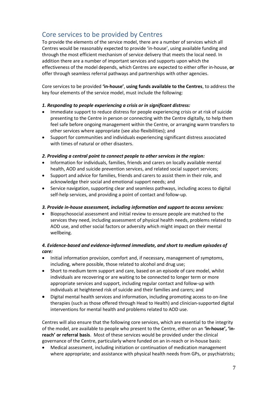# <span id="page-7-0"></span>Core services to be provided by Centres

To provide the elements of the service model, there are a number of services which all Centres would be reasonably expected to provide 'in-house', using available funding and through the most efficient mechanism of service delivery that meets the local need. In addition there are a number of important services and supports upon which the effectiveness of the model depends, which Centres are expected to either offer in-house, **or** offer through seamless referral pathways and partnerships with other agencies.

Core services to be provided **'in-house'**, **using funds available to the Centres**, to address the key four elements of the service model, must include the following:

#### *1. Responding to people experiencing a crisis or in significant distress:*

- Immediate support to reduce distress for people experiencing crisis or at risk of suicide presenting to the Centre in person or connecting with the Centre digitally, to help them feel safe before ongoing management within the Centre, or arranging warm transfers to other services where appropriate (see also flexibilities); and
- Support for communities and individuals experiencing significant distress associated with times of natural or other disasters.

#### *2. Providing a central point to connect people to other services in the region:*

- Information for individuals, families, friends and carers on locally available mental health, AOD and suicide prevention services, and related social support services;
- Support and advice for families, friends and carers to assist them in their role, and acknowledge their social and emotional support needs; and
- Service navigation, supporting clear and seamless pathways, including access to digital self-help services, and providing a point of contact and follow-up.

#### *3. Provide in-house assessment, including information and support to access services:*

 Biopsychosocial assessment and initial review to ensure people are matched to the services they need, including assessment of physical health needs, problems related to AOD use, and other social factors or adversity which might impact on their mental wellbeing.

#### *4. Evidence-based and evidence-informed immediate, and short to medium episodes of care:*

- Initial information provision, comfort and, if necessary, management of symptoms, including, where possible, those related to alcohol and drug use;
- Short to medium term support and care, based on an episode of care model, whilst individuals are recovering or are waiting to be connected to longer term or more appropriate services and support, including regular contact and follow-up with individuals at heightened risk of suicide and their families and carers; and
- Digital mental health services and information, including promoting access to on-line therapies (such as those offered through Head to Health) and clinician-supported digital interventions for mental health and problems related to AOD use.

Centres will also ensure that the following core services, which are essential to the integrity of the model, are available to people who present to the Centre, either on an **'in-house', 'inreach' or referral basis**. Most of these services would be provided under the clinical governance of the Centre, particularly where funded on an in-reach or in-house basis:

 Medical assessment, including initiation or continuation of medication management where appropriate; and assistance with physical health needs from GPs, or psychiatrists;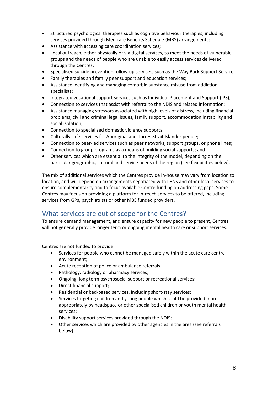- Structured psychological therapies such as cognitive behaviour therapies, including services provided through Medicare Benefits Schedule (MBS) arrangements;
- Assistance with accessing care coordination services;
- Local outreach, either physically or via digital services, to meet the needs of vulnerable groups and the needs of people who are unable to easily access services delivered through the Centres;
- Specialised suicide prevention follow-up services, such as the Way Back Support Service;
- Family therapies and family peer support and education services;
- Assistance identifying and managing comorbid substance misuse from addiction specialists;
- Integrated vocational support services such as Individual Placement and Support (IPS);
- Connection to services that assist with referral to the NDIS and related information;
- Assistance managing stressors associated with high levels of distress, including financial problems, civil and criminal legal issues, family support, accommodation instability and social isolation;
- Connection to specialised domestic violence supports;
- Culturally safe services for Aboriginal and Torres Strait Islander people;
- Connection to peer-led services such as peer networks, support groups, or phone lines;
- Connection to group programs as a means of building social supports; and
- Other services which are essential to the integrity of the model, depending on the particular geographic, cultural and service needs of the region (see flexibilities below).

The mix of additional services which the Centres provide in-house may vary from location to location, and will depend on arrangements negotiated with LHNs and other local services to ensure complementarity and to focus available Centre funding on addressing gaps. Some Centres may focus on providing a platform for in-reach services to be offered, including services from GPs, psychiatrists or other MBS funded providers.

# <span id="page-8-0"></span>What services are out of scope for the Centres?

To ensure demand management, and ensure capacity for new people to present, Centres will not generally provide longer term or ongoing mental health care or support services.

Centres are not funded to provide:

- Services for people who cannot be managed safely within the acute care centre environment;
- Acute reception of police or ambulance referrals;
- Pathology, radiology or pharmacy services;
- Ongoing, long term psychosocial support or recreational services;
- Direct financial support;
- Residential or bed-based services, including short-stay services;
- Services targeting children and young people which could be provided more appropriately by headspace or other specialised children or youth mental health services;
- Disability support services provided through the NDIS;
- Other services which are provided by other agencies in the area (see referrals below).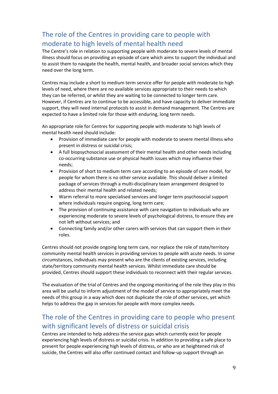# <span id="page-9-0"></span>The role of the Centres in providing care to people with moderate to high levels of mental health need

The Centre's role in relation to supporting people with moderate to severe levels of mental illness should focus on providing an episode of care which aims to support the individual and to assist them to navigate the health, mental health, and broader social services which they need over the long term.

Centres may include a short to medium term service offer for people with moderate to high levels of need, where there are no available services appropriate to their needs to which they can be referred, or whilst they are waiting to be connected to longer term care. However, if Centres are to continue to be accessible, and have capacity to deliver immediate support, they will need internal protocols to assist in demand management. The Centres are expected to have a limited role for those with enduring, long term needs.

An appropriate role for Centres for supporting people with moderate to high levels of mental health need should include:

- Provision of immediate care for people with moderate to severe mental illness who present in distress or suicidal crisis;
- A full biopsychosocial assessment of their mental health and other needs including co-occurring substance use or physical health issues which may influence their needs;
- Provision of short to medium term care according to an episode of care model, for people for whom there is no other service available. This should deliver a limited package of services through a multi-disciplinary team arrangement designed to address their mental health and related needs;
- Warm referral to more specialised services and longer term psychosocial support where individuals require ongoing, long term care;
- The provision of continuing assistance with care navigation to individuals who are experiencing moderate to severe levels of psychological distress, to ensure they are not left without services; and
- Connecting family and/or other carers with services that can support them in their roles.

Centres should not provide ongoing long term care, nor replace the role of state/territory community mental health services in providing services to people with acute needs. In some circumstances, individuals may present who are the clients of existing services, including state/territory community mental health services. Whilst immediate care should be provided, Centres should support these individuals to reconnect with their regular services.

The evaluation of the trial of Centres and the ongoing monitoring of the role they play in this area will be useful to inform adjustment of the model of service to appropriately meet the needs of this group in a way which does not duplicate the role of other services, yet which helps to address the gap in services for people with more complex needs.

# <span id="page-9-1"></span>The role of the Centres in providing care to people who present with significant levels of distress or suicidal crisis

Centres are intended to help address the service gaps which currently exist for people experiencing high levels of distress or suicidal crisis. In addition to providing a safe place to present for people experiencing high levels of distress, or who are at heightened risk of suicide, the Centres will also offer continued contact and follow-up support through an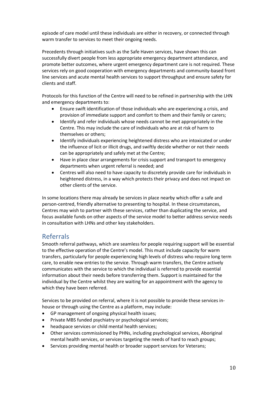episode of care model until these individuals are either in recovery, or connected through warm transfer to services to meet their ongoing needs.

Precedents through initiatives such as the Safe Haven services, have shown this can successfully divert people from less appropriate emergency department attendance, and promote better outcomes, where urgent emergency department care is not required. These services rely on good cooperation with emergency departments and community-based front line services and acute mental health services to support throughput and ensure safety for clients and staff.

Protocols for this function of the Centre will need to be refined in partnership with the LHN and emergency departments to:

- Ensure swift identification of those individuals who are experiencing a crisis, and provision of immediate support and comfort to them and their family or carers;
- Identify and refer individuals whose needs cannot be met appropriately in the Centre. This may include the care of individuals who are at risk of harm to themselves or others;
- Identify individuals experiencing heightened distress who are intoxicated or under the influence of licit or illicit drugs, and swiftly decide whether or not their needs can be appropriately and safely met at the Centre;
- Have in place clear arrangements for crisis support and transport to emergency departments when urgent referral is needed; and
- Centres will also need to have capacity to discretely provide care for individuals in heightened distress, in a way which protects their privacy and does not impact on other clients of the service.

In some locations there may already be services in place nearby which offer a safe and person-centred, friendly alternative to presenting to hospital. In these circumstances, Centres may wish to partner with these services, rather than duplicating the service, and focus available funds on other aspects of the service model to better address service needs in consultation with LHNs and other key stakeholders.

#### <span id="page-10-0"></span>Referrals

Smooth referral pathways, which are seamless for people requiring support will be essential to the effective operation of the Centre's model. This must include capacity for warm transfers, particularly for people experiencing high levels of distress who require long term care, to enable new entries to the service. Through warm transfers, the Centre actively communicates with the service to which the individual is referred to provide essential information about their needs before transferring them. Support is maintained for the individual by the Centre whilst they are waiting for an appointment with the agency to which they have been referred.

Services to be provided on referral, where it is not possible to provide these services inhouse or through using the Centre as a platform, may include:

- GP management of ongoing physical health issues;
- Private MBS funded psychiatry or psychological services;
- headspace services or child mental health services;
- Other services commissioned by PHNs, including psychological services, Aboriginal mental health services, or services targeting the needs of hard to reach groups;
- Services providing mental health or broader support services for Veterans;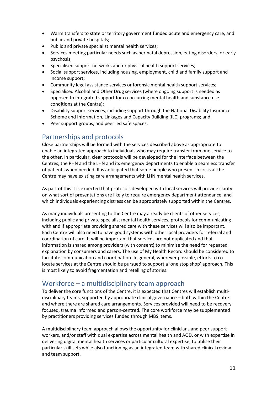- Warm transfers to state or territory government funded acute and emergency care, and public and private hospitals;
- Public and private specialist mental health services;
- Services meeting particular needs such as perinatal depression, eating disorders, or early psychosis;
- Specialised support networks and or physical health support services;
- Social support services, including housing, employment, child and family support and income support;
- Community legal assistance services or forensic mental health support services;
- Specialised Alcohol and Other Drug services (where ongoing support is needed as opposed to integrated support for co-occurring mental health and substance use conditions at the Centre);
- Disability support services, including support through the National Disability Insurance Scheme and Information, Linkages and Capacity Building (ILC) programs; and
- <span id="page-11-0"></span>• Peer support groups, and peer led safe spaces.

### Partnerships and protocols

Close partnerships will be formed with the services described above as appropriate to enable an integrated approach to individuals who may require transfer from one service to the other. In particular, clear protocols will be developed for the interface between the Centres, the PHN and the LHN and its emergency departments to enable a seamless transfer of patients when needed. It is anticipated that some people who present in crisis at the Centre may have existing care arrangements with LHN mental health services.

As part of this it is expected that protocols developed with local services will provide clarity on what sort of presentations are likely to require emergency department attendance, and which individuals experiencing distress can be appropriately supported within the Centres.

As many individuals presenting to the Centre may already be clients of other services, including public and private specialist mental health services, protocols for communicating with and if appropriate providing shared care with these services will also be important. Each Centre will also need to have good systems with other local providers for referral and coordination of care. It will be important that services are not duplicated and that information is shared among providers (with consent) to minimise the need for repeated explanation by consumers and carers. The use of My Health Record should be considered to facilitate communication and coordination. In general, wherever possible, efforts to colocate services at the Centre should be pursued to support a 'one stop shop' approach. This is most likely to avoid fragmentation and retelling of stories.

### <span id="page-11-1"></span>Workforce – a multidisciplinary team approach

To deliver the core functions of the Centre, it is expected that Centres will establish multidisciplinary teams, supported by appropriate clinical governance – both within the Centre and where there are shared care arrangements. Services provided will need to be recovery focused, trauma informed and person-centred. The core workforce may be supplemented by practitioners providing services funded through MBS items.

A multidisciplinary team approach allows the opportunity for clinicians and peer support workers, and/or staff with dual expertise across mental health and AOD, or with expertise in delivering digital mental health services or particular cultural expertise, to utilise their particular skill sets while also functioning as an integrated team with shared clinical review and team support.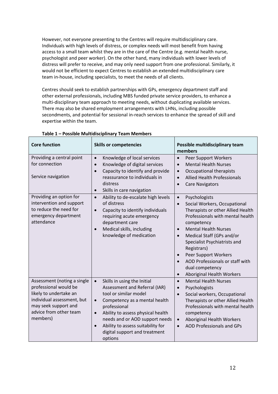However, not everyone presenting to the Centres will require multidisciplinary care. Individuals with high levels of distress, or complex needs will most benefit from having access to a small team whilst they are in the care of the Centre (e.g. mental health nurse, psychologist and peer worker). On the other hand, many individuals with lower levels of distress will prefer to receive, and may only need support from one professional. Similarly, it would not be efficient to expect Centres to establish an extended multidisciplinary care team in-house, including specialists, to meet the needs of all clients.

Centres should seek to establish partnerships with GPs, emergency department staff and other external professionals, including MBS funded private service providers, to enhance a multi-disciplinary team approach to meeting needs, without duplicating available services. There may also be shared employment arrangements with LHNs, including possible secondments, and potential for sessional in-reach services to enhance the spread of skill and expertise within the team.

| <b>Core function</b>                                                                                                                                                       | <b>Skills or competencies</b>                                                                                                                                                                                                                                                                                            | Possible multidisciplinary team<br>members                                                                                                                                                                                                                                                                                                                                           |  |
|----------------------------------------------------------------------------------------------------------------------------------------------------------------------------|--------------------------------------------------------------------------------------------------------------------------------------------------------------------------------------------------------------------------------------------------------------------------------------------------------------------------|--------------------------------------------------------------------------------------------------------------------------------------------------------------------------------------------------------------------------------------------------------------------------------------------------------------------------------------------------------------------------------------|--|
| Providing a central point<br>for connection<br>Service navigation                                                                                                          | Knowledge of local services<br>$\bullet$<br>Knowledge of digital services<br>$\bullet$<br>Capacity to identify and provide<br>$\bullet$<br>reassurance to individuals in<br>distress<br>Skills in care navigation<br>$\bullet$                                                                                           | Peer Support Workers<br><b>Mental Health Nurses</b><br>$\bullet$<br>Occupational therapists<br>$\bullet$<br><b>Allied Health Professionals</b><br><b>Care Navigators</b>                                                                                                                                                                                                             |  |
| Providing an option for<br>intervention and support<br>to reduce the need for<br>emergency department<br>attendance                                                        | Ability to de-escalate high levels<br>$\bullet$<br>of distress<br>Capacity to identify individuals<br>$\bullet$<br>requiring acute emergency<br>department care<br>Medical skills, including<br>knowledge of medication                                                                                                  | Psychologists<br>$\bullet$<br>Social Workers, Occupational<br>$\bullet$<br>Therapists or other Allied Health<br>Professionals with mental health<br>competency<br><b>Mental Health Nurses</b><br>Medical Staff (GPs and/or<br>Specialist Psychiatrists and<br>Registrars)<br>Peer Support Workers<br>AOD Professionals or staff with<br>dual competency<br>Aboriginal Health Workers |  |
| Assessment (noting a single<br>professional would be<br>likely to undertake an<br>individual assessment, but<br>may seek support and<br>advice from other team<br>members) | Skills in using the Initial<br>$\bullet$<br>Assessment and Referral (IAR)<br>tool or similar model<br>Competency as a mental health<br>$\bullet$<br>professional<br>Ability to assess physical health<br>needs and or AOD support needs<br>Ability to assess suitability for<br>digital support and treatment<br>options | <b>Mental Health Nurses</b><br>Psychologists<br>Social workers, Occupational<br>Therapists or other Allied Health<br>Professionals with mental health<br>competency<br>Aboriginal Health Workers<br>$\bullet$<br><b>AOD Professionals and GPs</b>                                                                                                                                    |  |

**Table 1 – Possible Multidisciplinary Team Members**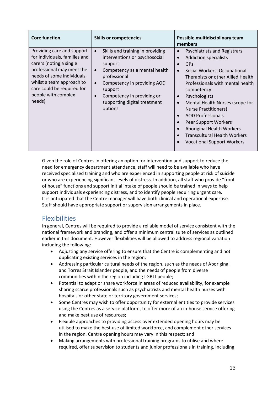| <b>Core function</b>                                                                                                                                                                                                                          | <b>Skills or competencies</b>                                                                                                                                                                                                                    | Possible multidisciplinary team<br>members                                                                                                                                                                                                                                                                                                                                                                                                 |
|-----------------------------------------------------------------------------------------------------------------------------------------------------------------------------------------------------------------------------------------------|--------------------------------------------------------------------------------------------------------------------------------------------------------------------------------------------------------------------------------------------------|--------------------------------------------------------------------------------------------------------------------------------------------------------------------------------------------------------------------------------------------------------------------------------------------------------------------------------------------------------------------------------------------------------------------------------------------|
| Providing care and support<br>for individuals, families and<br>carers (noting a single<br>professional may meet the<br>needs of some individuals,<br>whilst a team approach to<br>care could be required for<br>people with complex<br>needs) | Skills and training in providing<br>interventions or psychosocial<br>support<br>Competency as a mental health<br>professional<br>Competency in providing AOD<br>support<br>Competency in providing or<br>supporting digital treatment<br>options | <b>Psychiatrists and Registrars</b><br><b>Addiction specialists</b><br>GPs<br>Social Workers, Occupational<br>Therapists or other Allied Health<br>Professionals with mental health<br>competency<br>Psychologists<br>Mental Health Nurses (scope for<br>Nurse Practitioners)<br><b>AOD Professionals</b><br>Peer Support Workers<br>Aboriginal Health Workers<br><b>Transcultural Health Workers</b><br><b>Vocational Support Workers</b> |

Given the role of Centres in offering an option for intervention and support to reduce the need for emergency department attendance, staff will need to be available who have received specialised training and who are experienced in supporting people at risk of suicide or who are experiencing significant levels of distress. In addition, all staff who provide "front of house" functions and support initial intake of people should be trained in ways to help support individuals experiencing distress, and to identify people requiring urgent care. It is anticipated that the Centre manager will have both clinical and operational expertise. Staff should have appropriate support or supervision arrangements in place.

### <span id="page-13-0"></span>Flexibilities

In general, Centres will be required to provide a reliable model of service consistent with the national framework and branding, and offer a minimum central suite of services as outlined earlier in this document. However flexibilities will be allowed to address regional variation including the following:

- Adjusting any service offering to ensure that the Centre is complementing and not duplicating existing services in the region;
- Addressing particular cultural needs of the region, such as the needs of Aboriginal and Torres Strait Islander people, and the needs of people from diverse communities within the region including LGBTI people;
- Potential to adapt or share workforce in areas of reduced availability, for example sharing scarce professionals such as psychiatrists and mental health nurses with hospitals or other state or territory government services;
- Some Centres may wish to offer opportunity for external entities to provide services using the Centres as a service platform, to offer more of an in-house service offering and make best use of resources;
- Flexible approaches to providing access over extended opening hours may be utilised to make the best use of limited workforce, and complement other services in the region. Centre opening hours may vary in this respect; and
- Making arrangements with professional training programs to utilise and where required, offer supervision to students and junior professionals in training, including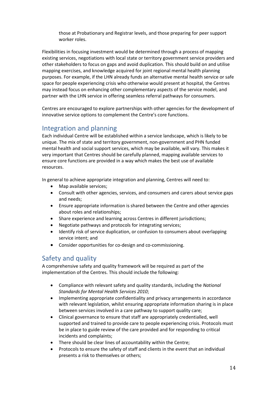those at Probationary and Registrar levels, and those preparing for peer support worker roles.

Flexibilities in focusing investment would be determined through a process of mapping existing services, negotiations with local state or territory government service providers and other stakeholders to focus on gaps and avoid duplication. This should build on and utilise mapping exercises, and knowledge acquired for joint regional mental health planning purposes. For example, if the LHN already funds an alternative mental health service or safe space for people experiencing crisis who otherwise would present at hospital, the Centres may instead focus on enhancing other complementary aspects of the service model, and partner with the LHN service in offering seamless referral pathways for consumers.

Centres are encouraged to explore partnerships with other agencies for the development of innovative service options to complement the Centre's core functions.

#### <span id="page-14-0"></span>Integration and planning

Each individual Centre will be established within a service landscape, which is likely to be unique. The mix of state and territory government, non-government and PHN funded mental health and social support services, which may be available, will vary. This makes it very important that Centres should be carefully planned, mapping available services to ensure core functions are provided in a way which makes the best use of available resources.

In general to achieve appropriate integration and planning, Centres will need to:

- Map available services;
- Consult with other agencies, services, and consumers and carers about service gaps and needs;
- Ensure appropriate information is shared between the Centre and other agencies about roles and relationships;
- Share experience and learning across Centres in different jurisdictions;
- Negotiate pathways and protocols for integrating services;
- Identify risk of service duplication, or confusion to consumers about overlapping service intent; and
- Consider opportunities for co-design and co-commissioning.

#### <span id="page-14-1"></span>Safety and quality

A comprehensive safety and quality framework will be required as part of the implementation of the Centres. This should include the following:

- Compliance with relevant safety and quality standards, including the *National Standards for Mental Health Services 2010*;
- Implementing appropriate confidentiality and privacy arrangements in accordance with relevant legislation, whilst ensuring appropriate information sharing is in place between services involved in a care pathway to support quality care;
- Clinical governance to ensure that staff are appropriately credentialled, well supported and trained to provide care to people experiencing crisis. Protocols must be in place to guide review of the care provided and for responding to critical incidents and complaints;
- There should be clear lines of accountability within the Centre;
- Protocols to ensure the safety of staff and clients in the event that an individual presents a risk to themselves or others;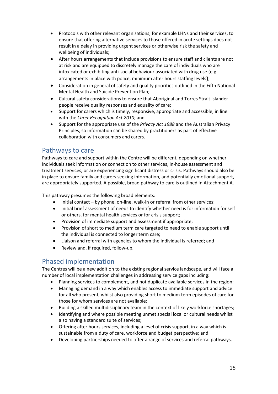- Protocols with other relevant organisations, for example LHNs and their services, to ensure that offering alternative services to those offered in acute settings does not result in a delay in providing urgent services or otherwise risk the safety and wellbeing of individuals;
- After hours arrangements that include provisions to ensure staff and clients are not at risk and are equipped to discretely manage the care of individuals who are intoxicated or exhibiting anti-social behaviour associated with drug use (e.g. arrangements in place with police, minimum after hours staffing levels);
- Consideration in general of safety and quality priorities outlined in the Fifth National Mental Health and Suicide Prevention Plan;
- Cultural safety considerations to ensure that Aboriginal and Torres Strait Islander people receive quality responses and equality of care;
- Support for carers which is timely, responsive, appropriate and accessible, in line with the *Carer Recognition Act 2010*; and
- Support for the appropriate use of the *Privacy Act 1988* and the Australian Privacy Principles, so information can be shared by practitioners as part of effective collaboration with consumers and carers.

### <span id="page-15-0"></span>Pathways to care

Pathways to care and support within the Centre will be different, depending on whether individuals seek information or connection to other services, in-house assessment and treatment services, or are experiencing significant distress or crisis. Pathways should also be in place to ensure family and carers seeking information, and potentially emotional support, are appropriately supported. A possible, broad pathway to care is outlined in Attachment A.

This pathway presumes the following broad elements:

- Initial contact by phone, on-line, walk-in or referral from other services;
- Initial brief assessment of needs to identify whether need is for information for self or others, for mental health services or for crisis support;
- Provision of immediate support and assessment if appropriate;
- Provision of short to medium term care targeted to need to enable support until the individual is connected to longer term care;
- Liaison and referral with agencies to whom the individual is referred; and
- Review and, if required, follow-up.

### <span id="page-15-1"></span>Phased implementation

The Centres will be a new addition to the existing regional service landscape, and will face a number of local implementation challenges in addressing service gaps including:

- Planning services to complement, and not duplicate available services in the region;
- Managing demand in a way which enables access to immediate support and advice for all who present, whilst also providing short to medium term episodes of care for those for whom services are not available;
- Building a skilled multidisciplinary team in the context of likely workforce shortages;
- Identifying and where possible meeting unmet special local or cultural needs whilst also having a standard suite of services;
- Offering after hours services, including a level of crisis support, in a way which is sustainable from a duty of care, workforce and budget perspective; and
- Developing partnerships needed to offer a range of services and referral pathways.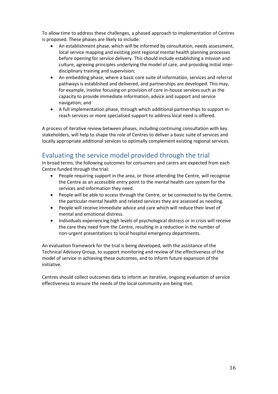To allow time to address these challenges, a phased approach to implementation of Centres is proposed. These phases are likely to include:

- An establishment phase, which will be informed by consultation, needs assessment, local service mapping and existing joint regional mental health planning processes before opening for service delivery. This should include establishing a mission and culture, agreeing principles underlying the model of care, and providing initial interdisciplinary training and supervision;
- An embedding phase, where a basic core suite of information, services and referral pathways is established and delivered, and partnerships are developed. This may, for example, involve focusing on provision of core in-house services such as the capacity to provide immediate information, advice and support and service navigation; and
- A full implementation phase, through which additional partnerships to support inreach services or more specialised support to address local need is offered.

A process of iterative review between phases, including continuing consultation with key stakeholders, will help to shape the role of Centres to deliver a basic suite of services and locally appropriate additional services to optimally complement existing regional services.

# <span id="page-16-0"></span>Evaluating the service model provided through the trial

In broad terms, the following outcomes for consumers and carers are expected from each Centre funded through the trial:

- People requiring support in the area, or those attending the Centre, will recognise the Centre as an accessible entry point to the mental health care system for the services and information they need.
- People will be able to access through the Centre, or be connected to by the Centre, the particular mental health and related services they are assessed as needing.
- People will receive immediate advice and care which will reduce their level of mental and emotional distress.
- Individuals experiencing high levels of psychological distress or in crisis will receive the care they need from the Centre, resulting in a reduction in the number of non-urgent presentations to local hospital emergency departments.

An evaluation framework for the trial is being developed, with the assistance of the Technical Advisory Group, to support monitoring and review of the effectiveness of the model of service in achieving these outcomes, and to inform future expansion of the initiative.

Centres should collect outcomes data to inform an iterative, ongoing evaluation of service effectiveness to ensure the needs of the local community are being met.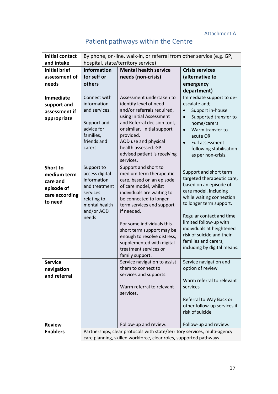#### Attachment A

|  | Patient pathways within the Centre |  |  |  |
|--|------------------------------------|--|--|--|
|--|------------------------------------|--|--|--|

<span id="page-17-0"></span>

| <b>Initial contact</b> | By phone, on-line, walk-in, or referral from other service (e.g. GP,      |                                                      |                                    |  |
|------------------------|---------------------------------------------------------------------------|------------------------------------------------------|------------------------------------|--|
| and intake             | hospital, state/territory service)                                        |                                                      |                                    |  |
| <b>Initial brief</b>   | <b>Information</b>                                                        | <b>Mental health service</b>                         | <b>Crisis services</b>             |  |
| assessment of          | for self or                                                               | needs (non-crisis)                                   | (alternative to                    |  |
| needs                  | others                                                                    |                                                      | emergency                          |  |
|                        |                                                                           |                                                      | department)                        |  |
| <b>Immediate</b>       | Connect with                                                              | Assessment undertaken to                             | Immediate support to de-           |  |
| support and            | information                                                               | identify level of need                               | escalate and;                      |  |
| assessment if          | and services.                                                             | and/or referrals required,                           | Support in-house                   |  |
| appropriate            |                                                                           | using Initial Assessment                             | $\bullet$<br>Supported transfer to |  |
|                        | Support and                                                               | and Referral decision tool,                          | home/carers                        |  |
|                        | advice for                                                                | or similar. Initial support                          | Warm transfer to<br>$\bullet$      |  |
|                        | families,                                                                 | provided.                                            | acute OR                           |  |
|                        | friends and                                                               | AOD use and physical                                 | Full assessment<br>$\bullet$       |  |
|                        | carers                                                                    | health assessed. GP                                  | following stabilisation            |  |
|                        |                                                                           | advised patient is receiving                         | as per non-crisis.                 |  |
|                        |                                                                           | services.                                            |                                    |  |
| <b>Short to</b>        | Support to                                                                | Support and short to                                 | Support and short term             |  |
| medium term            | access digital<br>information                                             | medium term therapeutic<br>care, based on an episode | targeted therapeutic care,         |  |
| care and               | and treatment                                                             | of care model, whilst                                | based on an episode of             |  |
| episode of             | services                                                                  | individuals are waiting to                           | care model, including              |  |
| care according         | relating to                                                               | be connected to longer                               | while waiting connection           |  |
| to need                | mental health                                                             | term services and support                            | to longer term support.            |  |
|                        | and/or AOD                                                                | if needed.                                           |                                    |  |
|                        | needs                                                                     |                                                      | Regular contact and time           |  |
|                        |                                                                           | For some individuals this                            | limited follow-up with             |  |
|                        |                                                                           | short term support may be                            | individuals at heightened          |  |
|                        |                                                                           | enough to resolve distress,                          | risk of suicide and their          |  |
|                        |                                                                           | supplemented with digital                            | families and carers,               |  |
|                        |                                                                           | treatment services or                                | including by digital means.        |  |
|                        |                                                                           | family support.                                      |                                    |  |
| Service                |                                                                           | Service navigation to assist                         | Service navigation and             |  |
| navigation             |                                                                           | them to connect to                                   | option of review                   |  |
| and referral           |                                                                           | services and supports.                               |                                    |  |
|                        |                                                                           |                                                      | Warm referral to relevant          |  |
|                        |                                                                           | Warm referral to relevant                            | services                           |  |
|                        |                                                                           | services.                                            |                                    |  |
|                        |                                                                           |                                                      | Referral to Way Back or            |  |
|                        |                                                                           |                                                      | other follow-up services if        |  |
|                        |                                                                           |                                                      | risk of suicide                    |  |
| <b>Review</b>          |                                                                           | Follow-up and review.                                | Follow-up and review.              |  |
|                        |                                                                           |                                                      |                                    |  |
| <b>Enablers</b>        | Partnerships, clear protocols with state/territory services, multi-agency |                                                      |                                    |  |
|                        | care planning, skilled workforce, clear roles, supported pathways.        |                                                      |                                    |  |